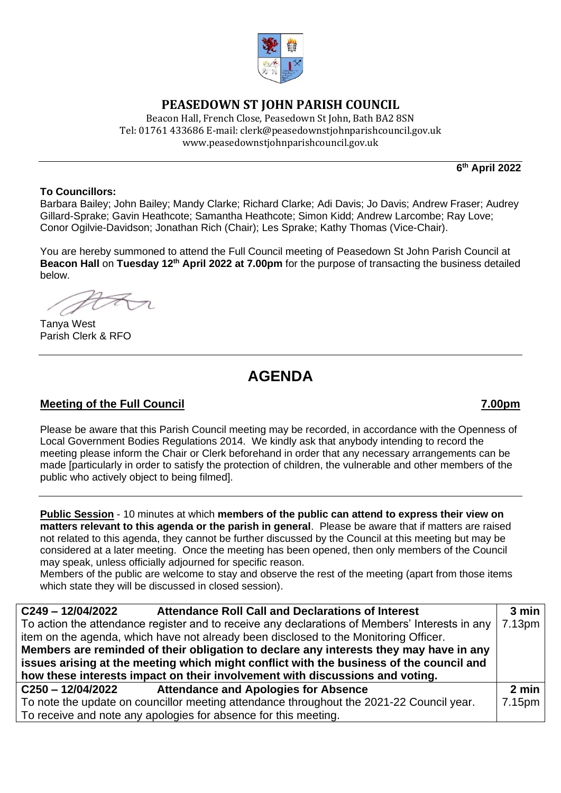

## **PEASEDOWN ST JOHN PARISH COUNCIL**

Beacon Hall, French Close, Peasedown St John, Bath BA2 8SN Tel: 01761 433686 E-mail: clerk@peasedownstjohnparishcouncil.gov.uk [www.peasedownstjohnparishcouncil.gov.uk](http://www.peasedownstjohnparishcouncil.gov.uk/)

**6 th April 2022**

### **To Councillors:**

Barbara Bailey; John Bailey; Mandy Clarke; Richard Clarke; Adi Davis; Jo Davis; Andrew Fraser; Audrey Gillard-Sprake; Gavin Heathcote; Samantha Heathcote; Simon Kidd; Andrew Larcombe; Ray Love; Conor Ogilvie-Davidson; Jonathan Rich (Chair); Les Sprake; Kathy Thomas (Vice-Chair).

You are hereby summoned to attend the Full Council meeting of Peasedown St John Parish Council at **Beacon Hall** on **Tuesday 12th April 2022 at 7.00pm** for the purpose of transacting the business detailed below.

Tanya West Parish Clerk & RFO

# **AGENDA**

## **Meeting of the Full Council 7.00pm**

Please be aware that this Parish Council meeting may be recorded, in accordance with the Openness of Local Government Bodies Regulations 2014. We kindly ask that anybody intending to record the meeting please inform the Chair or Clerk beforehand in order that any necessary arrangements can be made [particularly in order to satisfy the protection of children, the vulnerable and other members of the public who actively object to being filmed].

**Public Session** - 10 minutes at which **members of the public can attend to express their view on matters relevant to this agenda or the parish in general**. Please be aware that if matters are raised not related to this agenda, they cannot be further discussed by the Council at this meeting but may be considered at a later meeting. Once the meeting has been opened, then only members of the Council may speak, unless officially adjourned for specific reason.

Members of the public are welcome to stay and observe the rest of the meeting (apart from those items which state they will be discussed in closed session).

| C249-12/04/2022<br><b>Attendance Roll Call and Declarations of Interest</b>                    | 3 min  |
|------------------------------------------------------------------------------------------------|--------|
| To action the attendance register and to receive any declarations of Members' Interests in any | 7.13pm |
| item on the agenda, which have not already been disclosed to the Monitoring Officer.           |        |
| Members are reminded of their obligation to declare any interests they may have in any         |        |
| issues arising at the meeting which might conflict with the business of the council and        |        |
| how these interests impact on their involvement with discussions and voting.                   |        |
| C250-12/04/2022<br><b>Attendance and Apologies for Absence</b>                                 | 2 min  |
| To note the update on councillor meeting attendance throughout the 2021-22 Council year.       | 7.15pm |
| To receive and note any apologies for absence for this meeting.                                |        |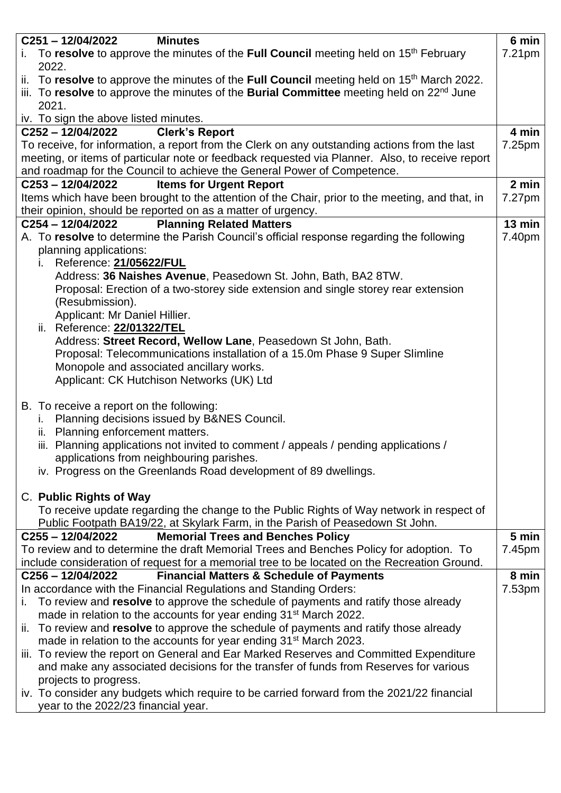| $C251 - 12/04/2022$<br><b>Minutes</b>                                                                                                                                                   | 6 min              |
|-----------------------------------------------------------------------------------------------------------------------------------------------------------------------------------------|--------------------|
| To resolve to approve the minutes of the Full Council meeting held on 15 <sup>th</sup> February<br>İ.<br>2022.                                                                          | 7.21 <sub>pm</sub> |
| ii. To resolve to approve the minutes of the Full Council meeting held on 15 <sup>th</sup> March 2022.                                                                                  |                    |
| iii. To resolve to approve the minutes of the Burial Committee meeting held on 22 <sup>nd</sup> June                                                                                    |                    |
| 2021.                                                                                                                                                                                   |                    |
| iv. To sign the above listed minutes.                                                                                                                                                   |                    |
| <b>Clerk's Report</b><br>C252-12/04/2022                                                                                                                                                | 4 min              |
| To receive, for information, a report from the Clerk on any outstanding actions from the last                                                                                           | 7.25pm             |
| meeting, or items of particular note or feedback requested via Planner. Also, to receive report                                                                                         |                    |
| and roadmap for the Council to achieve the General Power of Competence.                                                                                                                 |                    |
| C253-12/04/2022<br><b>Items for Urgent Report</b>                                                                                                                                       | 2 min              |
| Items which have been brought to the attention of the Chair, prior to the meeting, and that, in                                                                                         | 7.27pm             |
| their opinion, should be reported on as a matter of urgency.<br><b>Planning Related Matters</b><br>C254-12/04/2022                                                                      | 13 min             |
|                                                                                                                                                                                         | 7.40pm             |
| A. To resolve to determine the Parish Council's official response regarding the following<br>planning applications:                                                                     |                    |
| Reference: 21/05622/FUL<br>İ.                                                                                                                                                           |                    |
| Address: 36 Naishes Avenue, Peasedown St. John, Bath, BA2 8TW.                                                                                                                          |                    |
| Proposal: Erection of a two-storey side extension and single storey rear extension                                                                                                      |                    |
| (Resubmission).                                                                                                                                                                         |                    |
| Applicant: Mr Daniel Hillier.                                                                                                                                                           |                    |
| ii. Reference: 22/01322/TEL                                                                                                                                                             |                    |
| Address: Street Record, Wellow Lane, Peasedown St John, Bath.                                                                                                                           |                    |
| Proposal: Telecommunications installation of a 15.0m Phase 9 Super Slimline                                                                                                             |                    |
| Monopole and associated ancillary works.                                                                                                                                                |                    |
| Applicant: CK Hutchison Networks (UK) Ltd                                                                                                                                               |                    |
|                                                                                                                                                                                         |                    |
| B. To receive a report on the following:                                                                                                                                                |                    |
| Planning decisions issued by B&NES Council.<br>i.                                                                                                                                       |                    |
| ii. Planning enforcement matters.                                                                                                                                                       |                    |
| iii. Planning applications not invited to comment / appeals / pending applications /                                                                                                    |                    |
| applications from neighbouring parishes.                                                                                                                                                |                    |
| iv. Progress on the Greenlands Road development of 89 dwellings.                                                                                                                        |                    |
|                                                                                                                                                                                         |                    |
| C. Public Rights of Way                                                                                                                                                                 |                    |
| To receive update regarding the change to the Public Rights of Way network in respect of                                                                                                |                    |
| Public Footpath BA19/22, at Skylark Farm, in the Parish of Peasedown St John.                                                                                                           | 5 min              |
| <b>Memorial Trees and Benches Policy</b><br>C255 - 12/04/2022                                                                                                                           |                    |
| To review and to determine the draft Memorial Trees and Benches Policy for adoption. To<br>include consideration of request for a memorial tree to be located on the Recreation Ground. | 7.45pm             |
| $C256 - 12/04/2022$<br><b>Financial Matters &amp; Schedule of Payments</b>                                                                                                              | 8 min              |
| In accordance with the Financial Regulations and Standing Orders:                                                                                                                       | 7.53pm             |
| To review and resolve to approve the schedule of payments and ratify those already<br>i.                                                                                                |                    |
| made in relation to the accounts for year ending 31 <sup>st</sup> March 2022.                                                                                                           |                    |
| ii. To review and resolve to approve the schedule of payments and ratify those already                                                                                                  |                    |
| made in relation to the accounts for year ending 31 <sup>st</sup> March 2023.                                                                                                           |                    |
| iii. To review the report on General and Ear Marked Reserves and Committed Expenditure                                                                                                  |                    |
| and make any associated decisions for the transfer of funds from Reserves for various                                                                                                   |                    |
| projects to progress.                                                                                                                                                                   |                    |
| iv. To consider any budgets which require to be carried forward from the 2021/22 financial                                                                                              |                    |
| year to the 2022/23 financial year.                                                                                                                                                     |                    |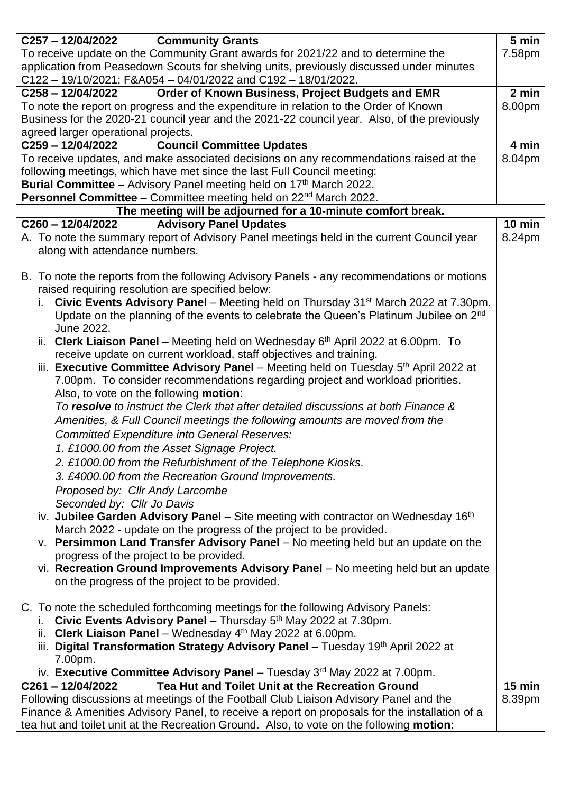| C257-12/04/2022<br><b>Community Grants</b>                                                                                                                                                 | 5 min    |
|--------------------------------------------------------------------------------------------------------------------------------------------------------------------------------------------|----------|
| To receive update on the Community Grant awards for 2021/22 and to determine the                                                                                                           | 7.58pm   |
| application from Peasedown Scouts for shelving units, previously discussed under minutes                                                                                                   |          |
| C122 - 19/10/2021; F&A054 - 04/01/2022 and C192 - 18/01/2022.                                                                                                                              |          |
| Order of Known Business, Project Budgets and EMR<br>$C258 - 12/04/2022$                                                                                                                    | 2 min    |
| To note the report on progress and the expenditure in relation to the Order of Known                                                                                                       | 8.00pm   |
| Business for the 2020-21 council year and the 2021-22 council year. Also, of the previously                                                                                                |          |
| agreed larger operational projects.                                                                                                                                                        |          |
| <b>Council Committee Updates</b><br>C259-12/04/2022                                                                                                                                        | 4 min    |
| To receive updates, and make associated decisions on any recommendations raised at the                                                                                                     | 8.04pm   |
| following meetings, which have met since the last Full Council meeting:                                                                                                                    |          |
| <b>Burial Committee</b> – Advisory Panel meeting held on $17th$ March 2022.                                                                                                                |          |
| <b>Personnel Committee</b> – Committee meeting held on $22^{nd}$ March 2022.                                                                                                               |          |
| The meeting will be adjourned for a 10-minute comfort break.                                                                                                                               |          |
| <b>Advisory Panel Updates</b><br>C260-12/04/2022                                                                                                                                           | 10 min   |
| A. To note the summary report of Advisory Panel meetings held in the current Council year                                                                                                  | 8.24pm   |
| along with attendance numbers.                                                                                                                                                             |          |
|                                                                                                                                                                                            |          |
| B. To note the reports from the following Advisory Panels - any recommendations or motions                                                                                                 |          |
| raised requiring resolution are specified below:                                                                                                                                           |          |
| Civic Events Advisory Panel - Meeting held on Thursday 31 <sup>st</sup> March 2022 at 7.30pm.                                                                                              |          |
| Update on the planning of the events to celebrate the Queen's Platinum Jubilee on 2 <sup>nd</sup><br>June 2022.                                                                            |          |
|                                                                                                                                                                                            |          |
| ii. Clerk Liaison Panel – Meeting held on Wednesday 6 <sup>th</sup> April 2022 at 6.00pm. To<br>receive update on current workload, staff objectives and training.                         |          |
| iii. Executive Committee Advisory Panel – Meeting held on Tuesday $5th$ April 2022 at                                                                                                      |          |
| 7.00pm. To consider recommendations regarding project and workload priorities.                                                                                                             |          |
| Also, to vote on the following motion:                                                                                                                                                     |          |
| To resolve to instruct the Clerk that after detailed discussions at both Finance &                                                                                                         |          |
|                                                                                                                                                                                            |          |
| Amenities, & Full Council meetings the following amounts are moved from the                                                                                                                |          |
| <b>Committed Expenditure into General Reserves:</b>                                                                                                                                        |          |
| 1. £1000.00 from the Asset Signage Project.                                                                                                                                                |          |
| 2. £1000.00 from the Refurbishment of the Telephone Kiosks.                                                                                                                                |          |
| 3. £4000.00 from the Recreation Ground Improvements.                                                                                                                                       |          |
| Proposed by: Cllr Andy Larcombe                                                                                                                                                            |          |
| Seconded by: Cllr Jo Davis                                                                                                                                                                 |          |
| iv. Jubilee Garden Advisory Panel – Site meeting with contractor on Wednesday $16th$                                                                                                       |          |
| March 2022 - update on the progress of the project to be provided.                                                                                                                         |          |
| v. Persimmon Land Transfer Advisory Panel – No meeting held but an update on the                                                                                                           |          |
| progress of the project to be provided.                                                                                                                                                    |          |
| vi. Recreation Ground Improvements Advisory Panel - No meeting held but an update                                                                                                          |          |
| on the progress of the project to be provided.                                                                                                                                             |          |
|                                                                                                                                                                                            |          |
| C. To note the scheduled forthcoming meetings for the following Advisory Panels:                                                                                                           |          |
| Civic Events Advisory Panel - Thursday 5 <sup>th</sup> May 2022 at 7.30pm.                                                                                                                 |          |
| ii. Clerk Liaison Panel - Wednesday 4 <sup>th</sup> May 2022 at 6.00pm.                                                                                                                    |          |
| iii. Digital Transformation Strategy Advisory Panel - Tuesday 19th April 2022 at                                                                                                           |          |
| 7.00pm.                                                                                                                                                                                    |          |
| iv. Executive Committee Advisory Panel – Tuesday $3rd$ May 2022 at 7.00pm.                                                                                                                 | $15$ min |
| Tea Hut and Toilet Unit at the Recreation Ground<br>C261-12/04/2022                                                                                                                        |          |
| Following discussions at meetings of the Football Club Liaison Advisory Panel and the                                                                                                      | 8.39pm   |
| Finance & Amenities Advisory Panel, to receive a report on proposals for the installation of a<br>tea hut and toilet unit at the Recreation Ground. Also, to vote on the following motion: |          |
|                                                                                                                                                                                            |          |